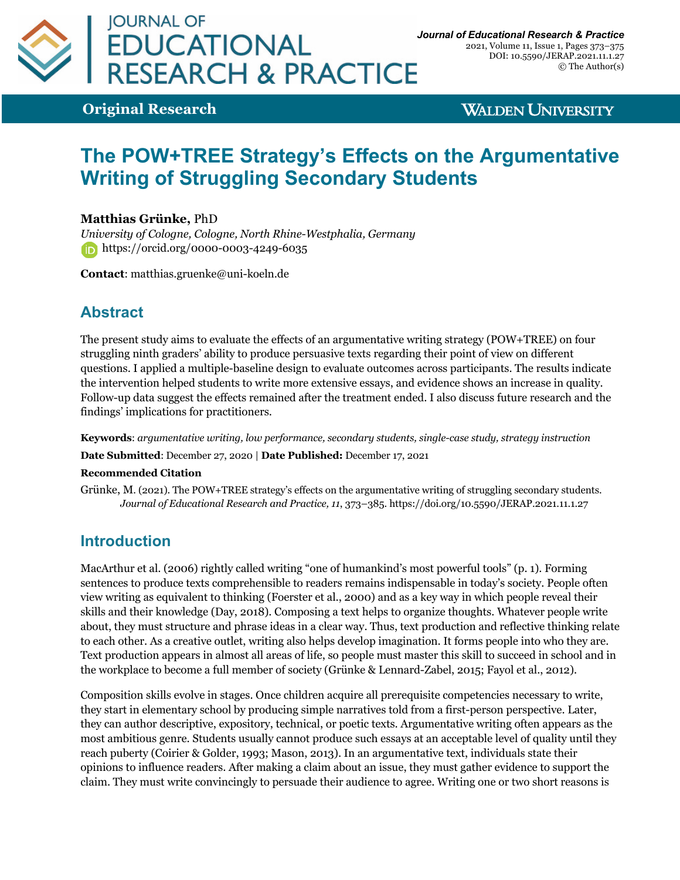

2021, Volume 11, Issue 1, Pages 373–375 DOI: 10.5590/JERAP.2021.11.1.27 © The Author(s)

**Original Research**

**WALDEN UNIVERSITY** 

# **The POW+TREE Strategy's Effects on the Argumentative Writing of Struggling Secondary Students**

#### **Matthias Grünke,** PhD

*University of Cologne, Cologne, North Rhine-Westphalia, Germany* **b** https://orcid.org/0000-0003-4249-6035

**Contact**: matthias.gruenke@uni-koeln.de

## **Abstract**

The present study aims to evaluate the effects of an argumentative writing strategy (POW+TREE) on four struggling ninth graders' ability to produce persuasive texts regarding their point of view on different questions. I applied a multiple-baseline design to evaluate outcomes across participants. The results indicate the intervention helped students to write more extensive essays, and evidence shows an increase in quality. Follow-up data suggest the effects remained after the treatment ended. I also discuss future research and the findings' implications for practitioners.

**Keywords**: *argumentative writing, low performance, secondary students, single-case study, strategy instruction*

**Date Submitted**: December 27, 2020 | **Date Published:** December 17, 2021

#### **Recommended Citation**

Grünke, M. (2021). The POW+TREE strategy's effects on the argumentative writing of struggling secondary students. *Journal of Educational Research and Practice, 11*, 373–385. https://doi.org/10.5590/JERAP.2021.11.1.27

## **Introduction**

MacArthur et al. (2006) rightly called writing "one of humankind's most powerful tools" (p. 1). Forming sentences to produce texts comprehensible to readers remains indispensable in today's society. People often view writing as equivalent to thinking (Foerster et al., 2000) and as a key way in which people reveal their skills and their knowledge (Day, 2018). Composing a text helps to organize thoughts. Whatever people write about, they must structure and phrase ideas in a clear way. Thus, text production and reflective thinking relate to each other. As a creative outlet, writing also helps develop imagination. It forms people into who they are. Text production appears in almost all areas of life, so people must master this skill to succeed in school and in the workplace to become a full member of society (Grünke & Lennard-Zabel, 2015; Fayol et al., 2012).

Composition skills evolve in stages. Once children acquire all prerequisite competencies necessary to write, they start in elementary school by producing simple narratives told from a first-person perspective. Later, they can author descriptive, expository, technical, or poetic texts. Argumentative writing often appears as the most ambitious genre. Students usually cannot produce such essays at an acceptable level of quality until they reach puberty (Coirier & Golder, 1993; Mason, 2013). In an argumentative text, individuals state their opinions to influence readers. After making a claim about an issue, they must gather evidence to support the claim. They must write convincingly to persuade their audience to agree. Writing one or two short reasons is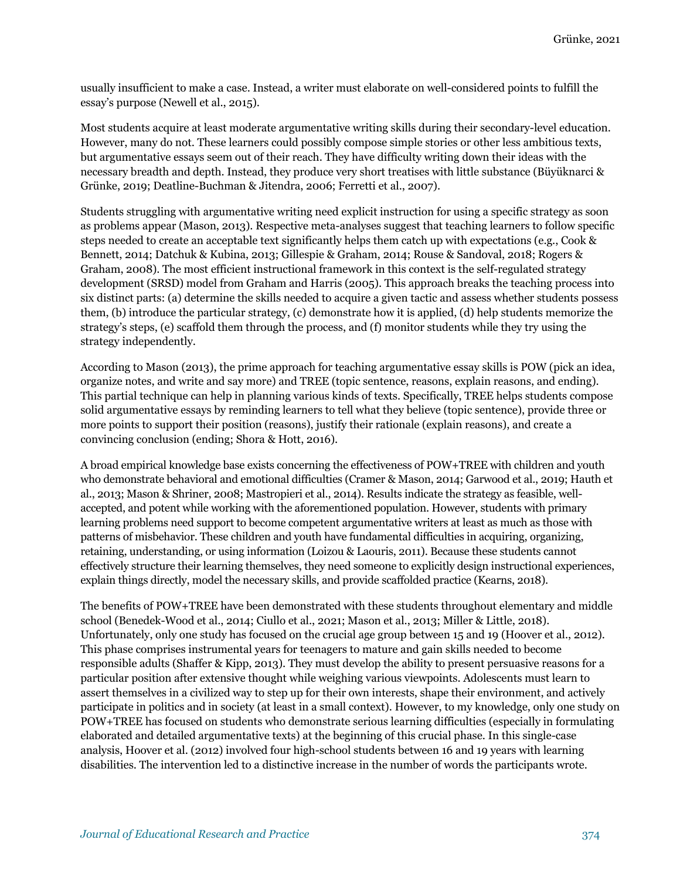usually insufficient to make a case. Instead, a writer must elaborate on well-considered points to fulfill the essay's purpose (Newell et al., 2015).

Most students acquire at least moderate argumentative writing skills during their secondary-level education. However, many do not. These learners could possibly compose simple stories or other less ambitious texts, but argumentative essays seem out of their reach. They have difficulty writing down their ideas with the necessary breadth and depth. Instead, they produce very short treatises with little substance (Büyüknarci & Grünke, 2019; Deatline-Buchman & Jitendra, 2006; Ferretti et al., 2007).

Students struggling with argumentative writing need explicit instruction for using a specific strategy as soon as problems appear (Mason, 2013). Respective meta-analyses suggest that teaching learners to follow specific steps needed to create an acceptable text significantly helps them catch up with expectations (e.g., Cook & Bennett, 2014; Datchuk & Kubina, 2013; Gillespie & Graham, 2014; Rouse & Sandoval, 2018; Rogers & Graham, 2008). The most efficient instructional framework in this context is the self-regulated strategy development (SRSD) model from Graham and Harris (2005). This approach breaks the teaching process into six distinct parts: (a) determine the skills needed to acquire a given tactic and assess whether students possess them, (b) introduce the particular strategy, (c) demonstrate how it is applied, (d) help students memorize the strategy's steps, (e) scaffold them through the process, and (f) monitor students while they try using the strategy independently.

According to Mason (2013), the prime approach for teaching argumentative essay skills is POW (pick an idea, organize notes, and write and say more) and TREE (topic sentence, reasons, explain reasons, and ending). This partial technique can help in planning various kinds of texts. Specifically, TREE helps students compose solid argumentative essays by reminding learners to tell what they believe (topic sentence), provide three or more points to support their position (reasons), justify their rationale (explain reasons), and create a convincing conclusion (ending; Shora & Hott, 2016).

A broad empirical knowledge base exists concerning the effectiveness of POW+TREE with children and youth who demonstrate behavioral and emotional difficulties (Cramer & Mason, 2014; Garwood et al., 2019; Hauth et al., 2013; Mason & Shriner, 2008; Mastropieri et al., 2014). Results indicate the strategy as feasible, wellaccepted, and potent while working with the aforementioned population. However, students with primary learning problems need support to become competent argumentative writers at least as much as those with patterns of misbehavior. These children and youth have fundamental difficulties in acquiring, organizing, retaining, understanding, or using information (Loizou & Laouris, 2011). Because these students cannot effectively structure their learning themselves, they need someone to explicitly design instructional experiences, explain things directly, model the necessary skills, and provide scaffolded practice (Kearns, 2018).

The benefits of POW+TREE have been demonstrated with these students throughout elementary and middle school (Benedek-Wood et al., 2014; Ciullo et al., 2021; Mason et al., 2013; Miller & Little, 2018). Unfortunately, only one study has focused on the crucial age group between 15 and 19 (Hoover et al., 2012). This phase comprises instrumental years for teenagers to mature and gain skills needed to become responsible adults (Shaffer & Kipp, 2013). They must develop the ability to present persuasive reasons for a particular position after extensive thought while weighing various viewpoints. Adolescents must learn to assert themselves in a civilized way to step up for their own interests, shape their environment, and actively participate in politics and in society (at least in a small context). However, to my knowledge, only one study on POW+TREE has focused on students who demonstrate serious learning difficulties (especially in formulating elaborated and detailed argumentative texts) at the beginning of this crucial phase. In this single-case analysis, Hoover et al. (2012) involved four high-school students between 16 and 19 years with learning disabilities. The intervention led to a distinctive increase in the number of words the participants wrote.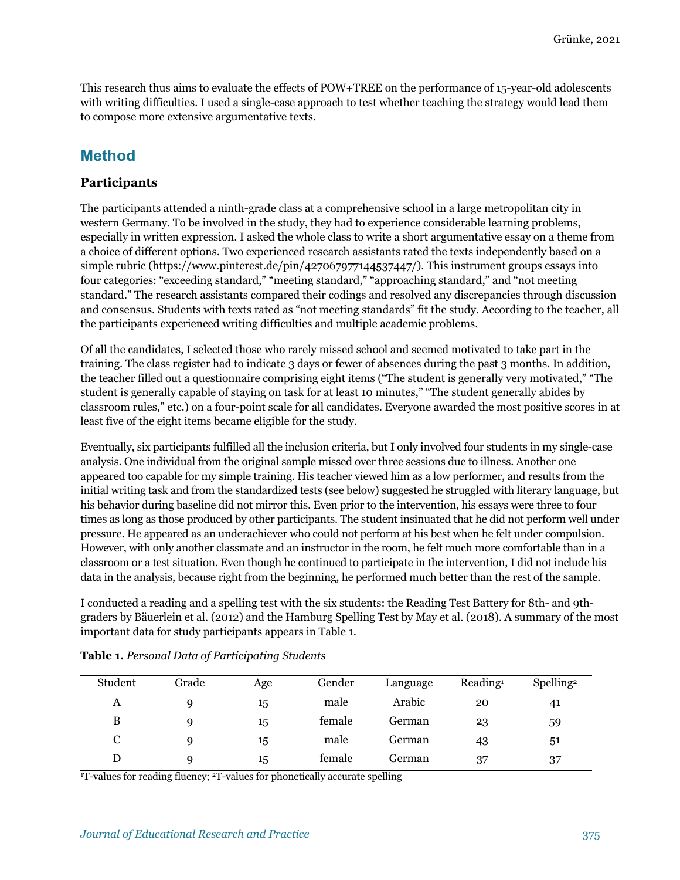This research thus aims to evaluate the effects of POW+TREE on the performance of 15-year-old adolescents with writing difficulties. I used a single-case approach to test whether teaching the strategy would lead them to compose more extensive argumentative texts.

## **Method**

#### **Participants**

The participants attended a ninth-grade class at a comprehensive school in a large metropolitan city in western Germany. To be involved in the study, they had to experience considerable learning problems, especially in written expression. I asked the whole class to write a short argumentative essay on a theme from a choice of different options. Two experienced research assistants rated the texts independently based on a simple rubric (https://www.pinterest.de/pin/427067977144537447/). This instrument groups essays into four categories: "exceeding standard," "meeting standard," "approaching standard," and "not meeting standard." The research assistants compared their codings and resolved any discrepancies through discussion and consensus. Students with texts rated as "not meeting standards" fit the study. According to the teacher, all the participants experienced writing difficulties and multiple academic problems.

Of all the candidates, I selected those who rarely missed school and seemed motivated to take part in the training. The class register had to indicate 3 days or fewer of absences during the past 3 months. In addition, the teacher filled out a questionnaire comprising eight items ("The student is generally very motivated," "The student is generally capable of staying on task for at least 10 minutes," "The student generally abides by classroom rules," etc.) on a four-point scale for all candidates. Everyone awarded the most positive scores in at least five of the eight items became eligible for the study.

Eventually, six participants fulfilled all the inclusion criteria, but I only involved four students in my single-case analysis. One individual from the original sample missed over three sessions due to illness. Another one appeared too capable for my simple training. His teacher viewed him as a low performer, and results from the initial writing task and from the standardized tests (see below) suggested he struggled with literary language, but his behavior during baseline did not mirror this. Even prior to the intervention, his essays were three to four times as long as those produced by other participants. The student insinuated that he did not perform well under pressure. He appeared as an underachiever who could not perform at his best when he felt under compulsion. However, with only another classmate and an instructor in the room, he felt much more comfortable than in a classroom or a test situation. Even though he continued to participate in the intervention, I did not include his data in the analysis, because right from the beginning, he performed much better than the rest of the sample.

I conducted a reading and a spelling test with the six students: the Reading Test Battery for 8th- and 9thgraders by Bäuerlein et al. (2012) and the Hamburg Spelling Test by May et al. (2018). A summary of the most important data for study participants appears in Table 1.

| Student | Grade | Age | Gender | Language | Reading <sup>1</sup> | Spelling <sup>2</sup> |
|---------|-------|-----|--------|----------|----------------------|-----------------------|
| A       | g     | 15  | male   | Arabic   | 20                   | 41                    |
| B       | g     | 15  | female | German   | 23                   | 59                    |
| C       | Q     | 15  | male   | German   | 43                   | 51                    |
|         | Q     | 15  | female | German   | 37                   | 37                    |

<sup>1</sup>T-values for reading fluency; <sup>2</sup>T-values for phonetically accurate spelling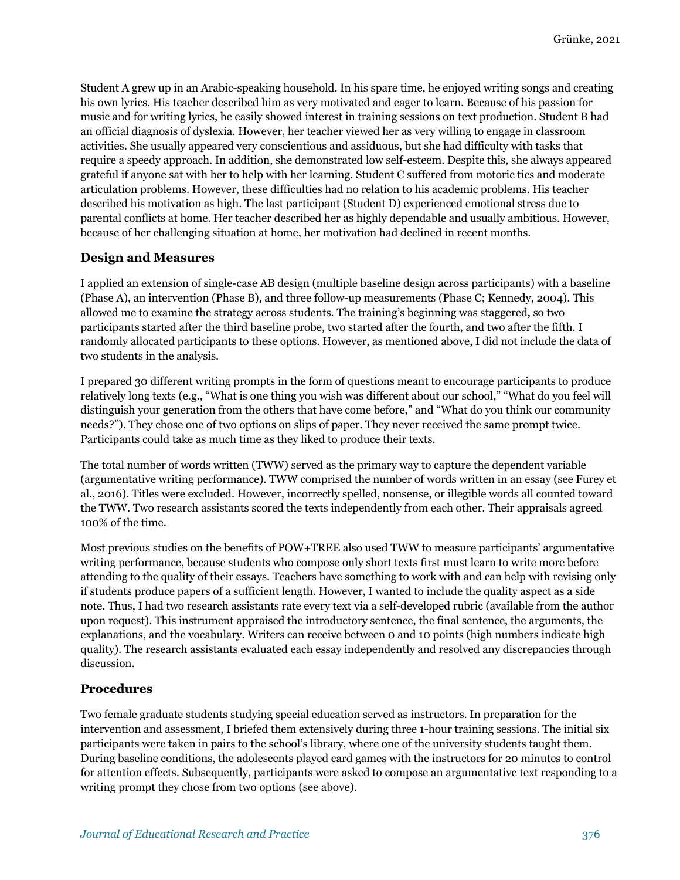Student A grew up in an Arabic-speaking household. In his spare time, he enjoyed writing songs and creating his own lyrics. His teacher described him as very motivated and eager to learn. Because of his passion for music and for writing lyrics, he easily showed interest in training sessions on text production. Student B had an official diagnosis of dyslexia. However, her teacher viewed her as very willing to engage in classroom activities. She usually appeared very conscientious and assiduous, but she had difficulty with tasks that require a speedy approach. In addition, she demonstrated low self-esteem. Despite this, she always appeared grateful if anyone sat with her to help with her learning. Student C suffered from motoric tics and moderate articulation problems. However, these difficulties had no relation to his academic problems. His teacher described his motivation as high. The last participant (Student D) experienced emotional stress due to parental conflicts at home. Her teacher described her as highly dependable and usually ambitious. However, because of her challenging situation at home, her motivation had declined in recent months.

#### **Design and Measures**

I applied an extension of single-case AB design (multiple baseline design across participants) with a baseline (Phase A), an intervention (Phase B), and three follow-up measurements (Phase C; Kennedy, 2004). This allowed me to examine the strategy across students. The training's beginning was staggered, so two participants started after the third baseline probe, two started after the fourth, and two after the fifth. I randomly allocated participants to these options. However, as mentioned above, I did not include the data of two students in the analysis.

I prepared 30 different writing prompts in the form of questions meant to encourage participants to produce relatively long texts (e.g., "What is one thing you wish was different about our school," "What do you feel will distinguish your generation from the others that have come before," and "What do you think our community needs?"). They chose one of two options on slips of paper. They never received the same prompt twice. Participants could take as much time as they liked to produce their texts.

The total number of words written (TWW) served as the primary way to capture the dependent variable (argumentative writing performance). TWW comprised the number of words written in an essay (see Furey et al., 2016). Titles were excluded. However, incorrectly spelled, nonsense, or illegible words all counted toward the TWW. Two research assistants scored the texts independently from each other. Their appraisals agreed 100% of the time.

Most previous studies on the benefits of POW+TREE also used TWW to measure participants' argumentative writing performance, because students who compose only short texts first must learn to write more before attending to the quality of their essays. Teachers have something to work with and can help with revising only if students produce papers of a sufficient length. However, I wanted to include the quality aspect as a side note. Thus, I had two research assistants rate every text via a self-developed rubric (available from the author upon request). This instrument appraised the introductory sentence, the final sentence, the arguments, the explanations, and the vocabulary. Writers can receive between 0 and 10 points (high numbers indicate high quality). The research assistants evaluated each essay independently and resolved any discrepancies through discussion.

#### **Procedures**

Two female graduate students studying special education served as instructors. In preparation for the intervention and assessment, I briefed them extensively during three 1-hour training sessions. The initial six participants were taken in pairs to the school's library, where one of the university students taught them. During baseline conditions, the adolescents played card games with the instructors for 20 minutes to control for attention effects. Subsequently, participants were asked to compose an argumentative text responding to a writing prompt they chose from two options (see above).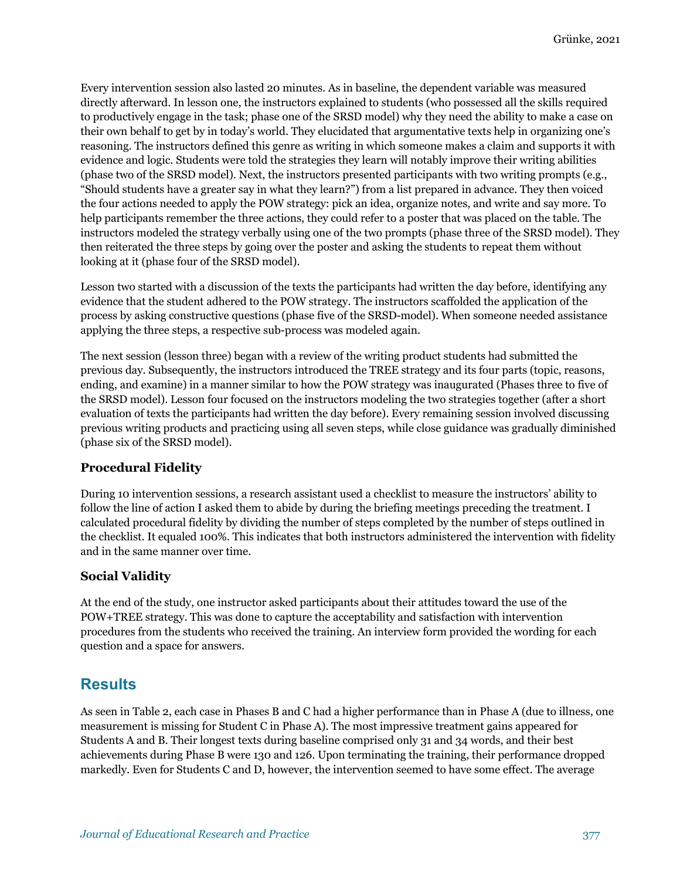Every intervention session also lasted 20 minutes. As in baseline, the dependent variable was measured directly afterward. In lesson one, the instructors explained to students (who possessed all the skills required to productively engage in the task; phase one of the SRSD model) why they need the ability to make a case on their own behalf to get by in today's world. They elucidated that argumentative texts help in organizing one's reasoning. The instructors defined this genre as writing in which someone makes a claim and supports it with evidence and logic. Students were told the strategies they learn will notably improve their writing abilities (phase two of the SRSD model). Next, the instructors presented participants with two writing prompts (e.g., "Should students have a greater say in what they learn?") from a list prepared in advance. They then voiced the four actions needed to apply the POW strategy: pick an idea, organize notes, and write and say more. To help participants remember the three actions, they could refer to a poster that was placed on the table. The instructors modeled the strategy verbally using one of the two prompts (phase three of the SRSD model). They then reiterated the three steps by going over the poster and asking the students to repeat them without looking at it (phase four of the SRSD model).

Lesson two started with a discussion of the texts the participants had written the day before, identifying any evidence that the student adhered to the POW strategy. The instructors scaffolded the application of the process by asking constructive questions (phase five of the SRSD-model). When someone needed assistance applying the three steps, a respective sub-process was modeled again.

The next session (lesson three) began with a review of the writing product students had submitted the previous day. Subsequently, the instructors introduced the TREE strategy and its four parts (topic, reasons, ending, and examine) in a manner similar to how the POW strategy was inaugurated (Phases three to five of the SRSD model). Lesson four focused on the instructors modeling the two strategies together (after a short evaluation of texts the participants had written the day before). Every remaining session involved discussing previous writing products and practicing using all seven steps, while close guidance was gradually diminished (phase six of the SRSD model).

#### **Procedural Fidelity**

During 10 intervention sessions, a research assistant used a checklist to measure the instructors' ability to follow the line of action I asked them to abide by during the briefing meetings preceding the treatment. I calculated procedural fidelity by dividing the number of steps completed by the number of steps outlined in the checklist. It equaled 100%. This indicates that both instructors administered the intervention with fidelity and in the same manner over time.

#### **Social Validity**

At the end of the study, one instructor asked participants about their attitudes toward the use of the POW+TREE strategy. This was done to capture the acceptability and satisfaction with intervention procedures from the students who received the training. An interview form provided the wording for each question and a space for answers.

## **Results**

As seen in Table 2, each case in Phases B and C had a higher performance than in Phase A (due to illness, one measurement is missing for Student C in Phase A). The most impressive treatment gains appeared for Students A and B. Their longest texts during baseline comprised only 31 and 34 words, and their best achievements during Phase B were 130 and 126. Upon terminating the training, their performance dropped markedly. Even for Students C and D, however, the intervention seemed to have some effect. The average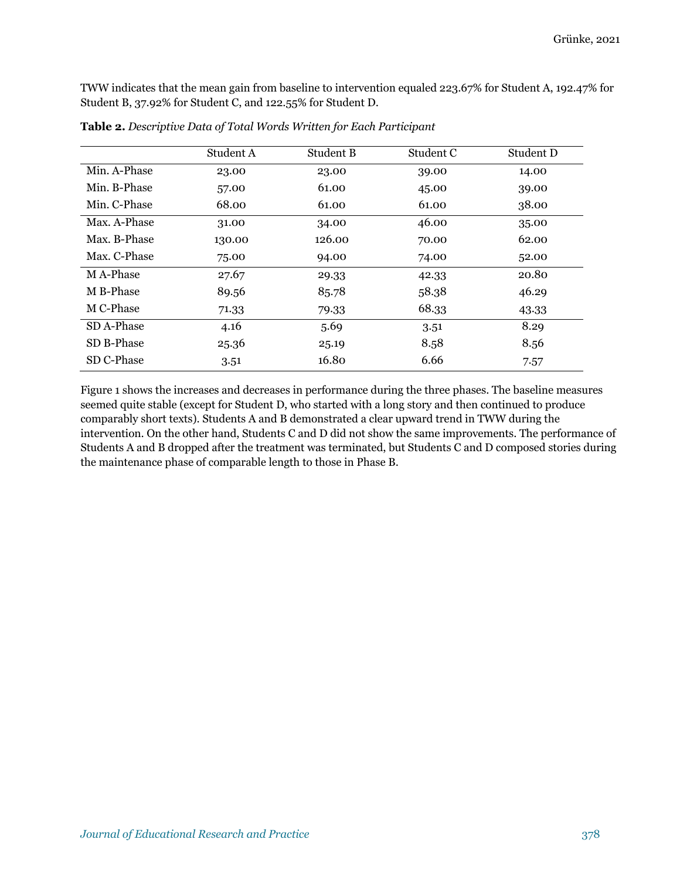TWW indicates that the mean gain from baseline to intervention equaled 223.67% for Student A, 192.47% for Student B, 37.92% for Student C, and 122.55% for Student D.

|              | Student A | Student B | Student C | Student D |
|--------------|-----------|-----------|-----------|-----------|
| Min. A-Phase | 23.00     | 23.00     | 39.00     | 14.00     |
| Min. B-Phase | 57.00     | 61.00     | 45.00     | 39.00     |
| Min. C-Phase | 68.00     | 61.00     | 61.00     | 38.00     |
| Max. A-Phase | 31.00     | 34.00     | 46.00     | 35.00     |
| Max. B-Phase | 130.00    | 126.00    | 70.00     | 62.00     |
| Max. C-Phase | 75.00     | 94.00     | 74.00     | 52.00     |
| M A-Phase    | 27.67     | 29.33     | 42.33     | 20.80     |
| M B-Phase    | 89.56     | 85.78     | 58.38     | 46.29     |
| M C-Phase    | 71.33     | 79.33     | 68.33     | 43.33     |
| SD A-Phase   | 4.16      | 5.69      | 3.51      | 8.29      |
| SD B-Phase   | 25.36     | 25.19     | 8.58      | 8.56      |
| SD C-Phase   | 3.51      | 16.80     | 6.66      | 7.57      |

**Table 2.** *Descriptive Data of Total Words Written for Each Participant*

Figure 1 shows the increases and decreases in performance during the three phases. The baseline measures seemed quite stable (except for Student D, who started with a long story and then continued to produce comparably short texts). Students A and B demonstrated a clear upward trend in TWW during the intervention. On the other hand, Students C and D did not show the same improvements. The performance of Students A and B dropped after the treatment was terminated, but Students C and D composed stories during the maintenance phase of comparable length to those in Phase B.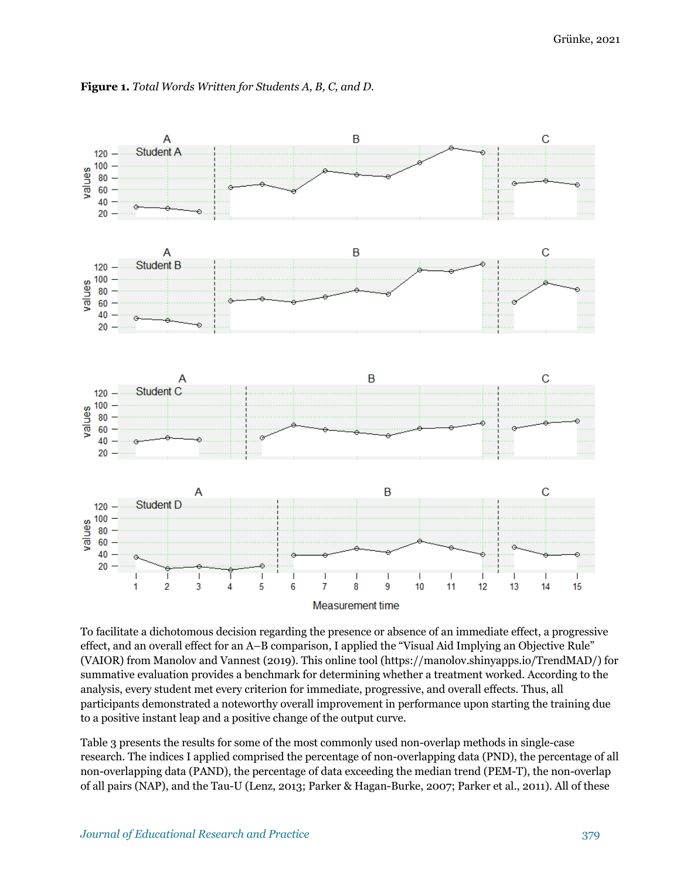

**Figure 1.** *Total Words Written for Students A, B, C, and D.*

To facilitate a dichotomous decision regarding the presence or absence of an immediate effect, a progressive effect, and an overall effect for an A–B comparison, I applied the "Visual Aid Implying an Objective Rule" (VAIOR) from Manolov and Vannest (2019). This online tool (https://manolov.shinyapps.io/TrendMAD/) for summative evaluation provides a benchmark for determining whether a treatment worked. According to the analysis, every student met every criterion for immediate, progressive, and overall effects. Thus, all participants demonstrated a noteworthy overall improvement in performance upon starting the training due to a positive instant leap and a positive change of the output curve.

Table 3 presents the results for some of the most commonly used non-overlap methods in single-case research. The indices I applied comprised the percentage of non-overlapping data (PND), the percentage of all non-overlapping data (PAND), the percentage of data exceeding the median trend (PEM-T), the non-overlap of all pairs (NAP), and the Tau-U (Lenz, 2013; Parker & Hagan-Burke, 2007; Parker et al., 2011). All of these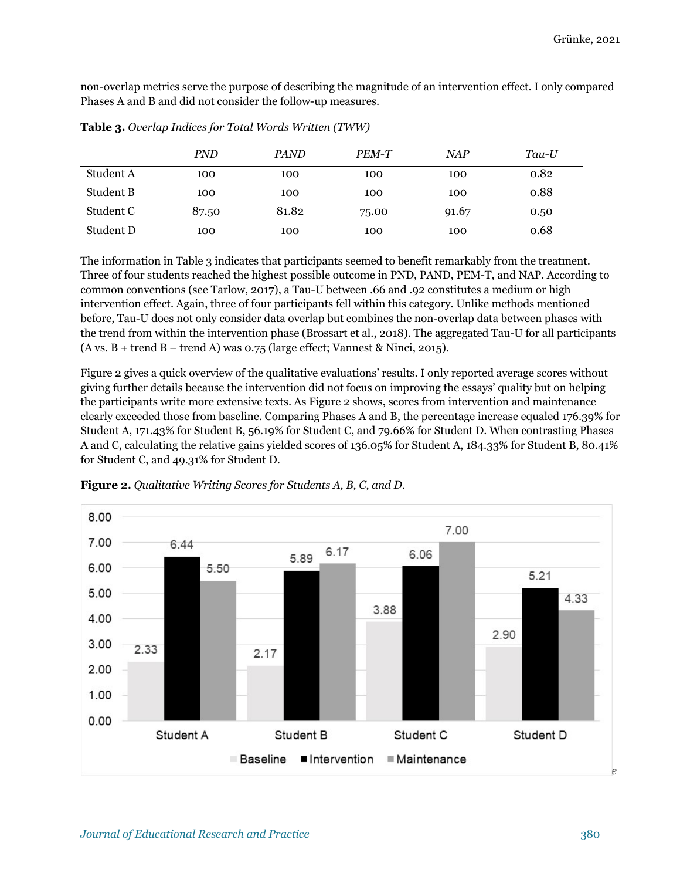non-overlap metrics serve the purpose of describing the magnitude of an intervention effect. I only compared Phases A and B and did not consider the follow-up measures.

|           | PND   | <b>PAND</b> | PEM-T | <b>NAP</b> | $Tau-U$ |
|-----------|-------|-------------|-------|------------|---------|
| Student A | 100   | 100         | 100   | 100        | 0.82    |
| Student B | 100   | 100         | 100   | 100        | 0.88    |
| Student C | 87.50 | 81.82       | 75.00 | 91.67      | 0.50    |
| Student D | 100   | 100         | 100   | 100        | 0.68    |

**Table 3.** *Overlap Indices for Total Words Written (TWW)*

The information in Table 3 indicates that participants seemed to benefit remarkably from the treatment. Three of four students reached the highest possible outcome in PND, PAND, PEM-T, and NAP. According to common conventions (see Tarlow, 2017), a Tau-U between .66 and .92 constitutes a medium or high intervention effect. Again, three of four participants fell within this category. Unlike methods mentioned before, Tau-U does not only consider data overlap but combines the non-overlap data between phases with the trend from within the intervention phase (Brossart et al., 2018). The aggregated Tau-U for all participants  $(A vs. B + trend B - trend A) was 0.75 (large effect; Vannest & Ninci, 2015).$ 

Figure 2 gives a quick overview of the qualitative evaluations' results. I only reported average scores without giving further details because the intervention did not focus on improving the essays' quality but on helping the participants write more extensive texts. As Figure 2 shows, scores from intervention and maintenance clearly exceeded those from baseline. Comparing Phases A and B, the percentage increase equaled 176.39% for Student A, 171.43% for Student B, 56.19% for Student C, and 79.66% for Student D. When contrasting Phases A and C, calculating the relative gains yielded scores of 136.05% for Student A, 184.33% for Student B, 80.41% for Student C, and 49.31% for Student D.



**Figure 2.** *Qualitative Writing Scores for Students A, B, C, and D.*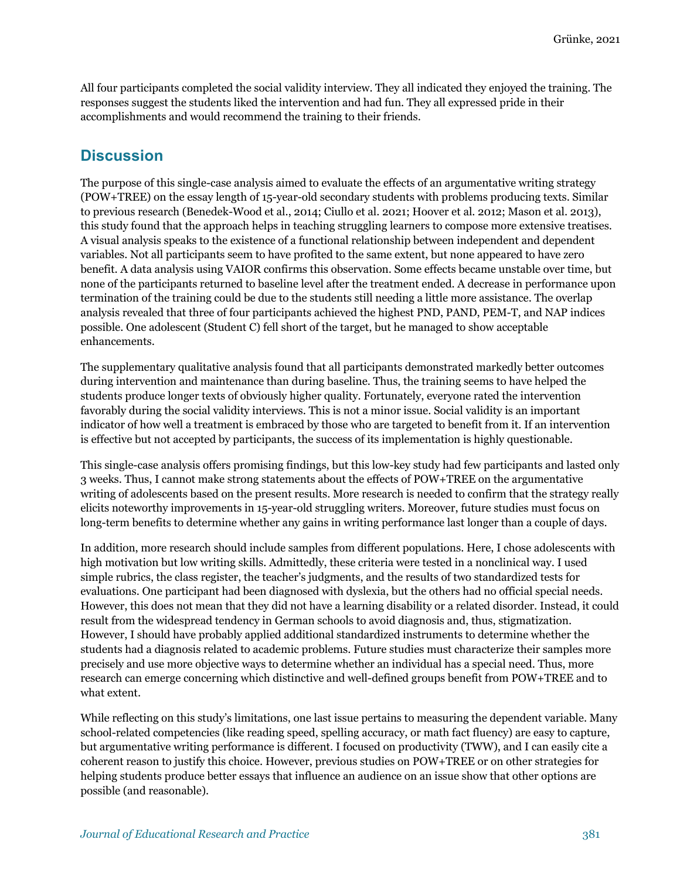All four participants completed the social validity interview. They all indicated they enjoyed the training. The responses suggest the students liked the intervention and had fun. They all expressed pride in their accomplishments and would recommend the training to their friends.

## **Discussion**

The purpose of this single-case analysis aimed to evaluate the effects of an argumentative writing strategy (POW+TREE) on the essay length of 15-year-old secondary students with problems producing texts. Similar to previous research (Benedek-Wood et al., 2014; Ciullo et al. 2021; Hoover et al. 2012; Mason et al. 2013), this study found that the approach helps in teaching struggling learners to compose more extensive treatises. A visual analysis speaks to the existence of a functional relationship between independent and dependent variables. Not all participants seem to have profited to the same extent, but none appeared to have zero benefit. A data analysis using VAIOR confirms this observation. Some effects became unstable over time, but none of the participants returned to baseline level after the treatment ended. A decrease in performance upon termination of the training could be due to the students still needing a little more assistance. The overlap analysis revealed that three of four participants achieved the highest PND, PAND, PEM-T, and NAP indices possible. One adolescent (Student C) fell short of the target, but he managed to show acceptable enhancements.

The supplementary qualitative analysis found that all participants demonstrated markedly better outcomes during intervention and maintenance than during baseline. Thus, the training seems to have helped the students produce longer texts of obviously higher quality. Fortunately, everyone rated the intervention favorably during the social validity interviews. This is not a minor issue. Social validity is an important indicator of how well a treatment is embraced by those who are targeted to benefit from it. If an intervention is effective but not accepted by participants, the success of its implementation is highly questionable.

This single-case analysis offers promising findings, but this low-key study had few participants and lasted only 3 weeks. Thus, I cannot make strong statements about the effects of POW+TREE on the argumentative writing of adolescents based on the present results. More research is needed to confirm that the strategy really elicits noteworthy improvements in 15-year-old struggling writers. Moreover, future studies must focus on long-term benefits to determine whether any gains in writing performance last longer than a couple of days.

In addition, more research should include samples from different populations. Here, I chose adolescents with high motivation but low writing skills. Admittedly, these criteria were tested in a nonclinical way. I used simple rubrics, the class register, the teacher's judgments, and the results of two standardized tests for evaluations. One participant had been diagnosed with dyslexia, but the others had no official special needs. However, this does not mean that they did not have a learning disability or a related disorder. Instead, it could result from the widespread tendency in German schools to avoid diagnosis and, thus, stigmatization. However, I should have probably applied additional standardized instruments to determine whether the students had a diagnosis related to academic problems. Future studies must characterize their samples more precisely and use more objective ways to determine whether an individual has a special need. Thus, more research can emerge concerning which distinctive and well-defined groups benefit from POW+TREE and to what extent.

While reflecting on this study's limitations, one last issue pertains to measuring the dependent variable. Many school-related competencies (like reading speed, spelling accuracy, or math fact fluency) are easy to capture, but argumentative writing performance is different. I focused on productivity (TWW), and I can easily cite a coherent reason to justify this choice. However, previous studies on POW+TREE or on other strategies for helping students produce better essays that influence an audience on an issue show that other options are possible (and reasonable).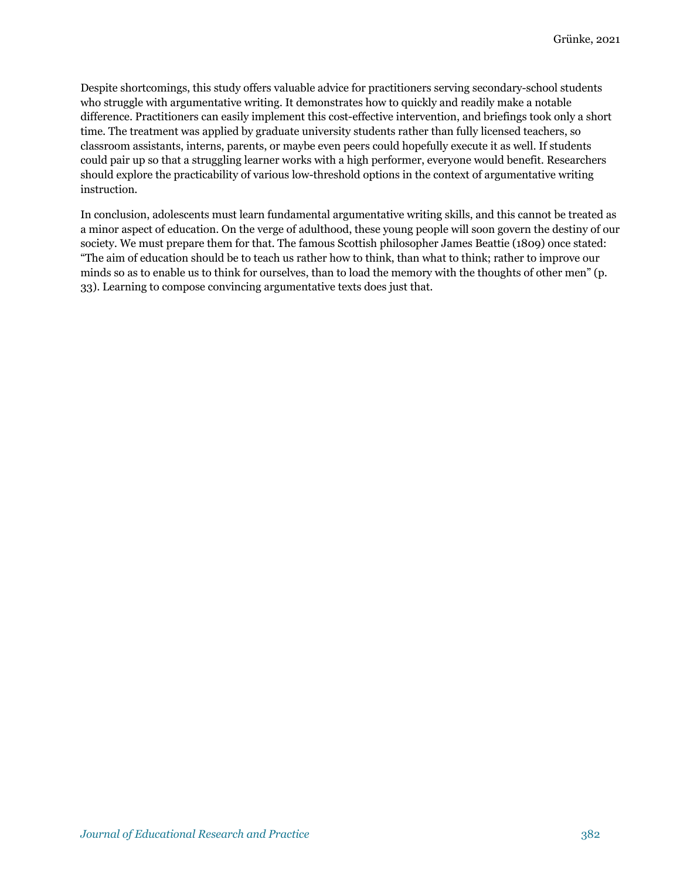Despite shortcomings, this study offers valuable advice for practitioners serving secondary-school students who struggle with argumentative writing. It demonstrates how to quickly and readily make a notable difference. Practitioners can easily implement this cost-effective intervention, and briefings took only a short time. The treatment was applied by graduate university students rather than fully licensed teachers, so classroom assistants, interns, parents, or maybe even peers could hopefully execute it as well. If students could pair up so that a struggling learner works with a high performer, everyone would benefit. Researchers should explore the practicability of various low-threshold options in the context of argumentative writing instruction.

In conclusion, adolescents must learn fundamental argumentative writing skills, and this cannot be treated as a minor aspect of education. On the verge of adulthood, these young people will soon govern the destiny of our society. We must prepare them for that. The famous Scottish philosopher James Beattie (1809) once stated: "The aim of education should be to teach us rather how to think, than what to think; rather to improve our minds so as to enable us to think for ourselves, than to load the memory with the thoughts of other men" (p. 33). Learning to compose convincing argumentative texts does just that.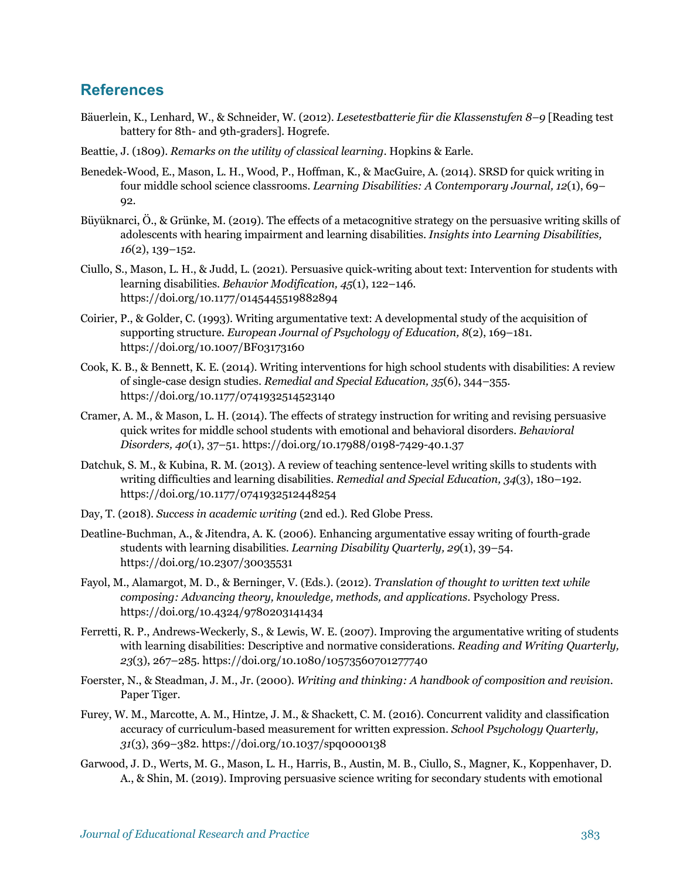### **References**

- Bäuerlein, K., Lenhard, W., & Schneider, W. (2012). *Lesetestbatterie für die Klassenstufen 8–9* [Reading test battery for 8th- and 9th-graders]. Hogrefe.
- Beattie, J. (1809). *Remarks on the utility of classical learning*. Hopkins & Earle.
- Benedek-Wood, E., Mason, L. H., Wood, P., Hoffman, K., & MacGuire, A. (2014). SRSD for quick writing in four middle school science classrooms. *Learning Disabilities: A Contemporary Journal, 12*(1), 69– 92.
- Büyüknarci, Ö., & Grünke, M. (2019). The effects of a metacognitive strategy on the persuasive writing skills of adolescents with hearing impairment and learning disabilities. *Insights into Learning Disabilities, 16*(2), 139–152.
- Ciullo, S., Mason, L. H., & Judd, L. (2021). Persuasive quick-writing about text: Intervention for students with learning disabilities. *Behavior Modification, 45*(1), 122–146. https://doi.org/10.1177/0145445519882894
- Coirier, P., & Golder, C. (1993). Writing argumentative text: A developmental study of the acquisition of supporting structure. *European Journal of Psychology of Education, 8*(2), 169–181. https://doi.org/10.1007/BF03173160
- Cook, K. B., & Bennett, K. E. (2014). Writing interventions for high school students with disabilities: A review of single-case design studies. *Remedial and Special Education, 35*(6), 344–355. https://doi.org/10.1177/0741932514523140
- Cramer, A. M., & Mason, L. H. (2014). The effects of strategy instruction for writing and revising persuasive quick writes for middle school students with emotional and behavioral disorders. *Behavioral Disorders, 40*(1), 37–51. https://doi.org/10.17988/0198-7429-40.1.37
- Datchuk, S. M., & Kubina, R. M. (2013). A review of teaching sentence-level writing skills to students with writing difficulties and learning disabilities. *Remedial and Special Education, 34*(3), 180–192. https://doi.org/10.1177/0741932512448254
- Day, T. (2018). *Success in academic writing* (2nd ed.). Red Globe Press.
- Deatline-Buchman, A., & Jitendra, A. K. (2006). Enhancing argumentative essay writing of fourth-grade students with learning disabilities. *Learning Disability Quarterly, 29*(1), 39–54. https://doi.org/10.2307/30035531
- Fayol, M., Alamargot, M. D., & Berninger, V. (Eds.). (2012). *Translation of thought to written text while composing: Advancing theory, knowledge, methods, and applications*. Psychology Press. https://doi.org/10.4324/9780203141434
- Ferretti, R. P., Andrews-Weckerly, S., & Lewis, W. E. (2007). Improving the argumentative writing of students with learning disabilities: Descriptive and normative considerations. *Reading and Writing Quarterly, 23*(3), 267–285. https://doi.org/10.1080/10573560701277740
- Foerster, N., & Steadman, J. M., Jr. (2000). *Writing and thinking: A handbook of composition and revision*. Paper Tiger.
- Furey, W. M., Marcotte, A. M., Hintze, J. M., & Shackett, C. M. (2016). Concurrent validity and classification accuracy of curriculum-based measurement for written expression. *School Psychology Quarterly, 31*(3), 369–382. https://doi.org/10.1037/spq0000138
- Garwood, J. D., Werts, M. G., Mason, L. H., Harris, B., Austin, M. B., Ciullo, S., Magner, K., Koppenhaver, D. A., & Shin, M. (2019). Improving persuasive science writing for secondary students with emotional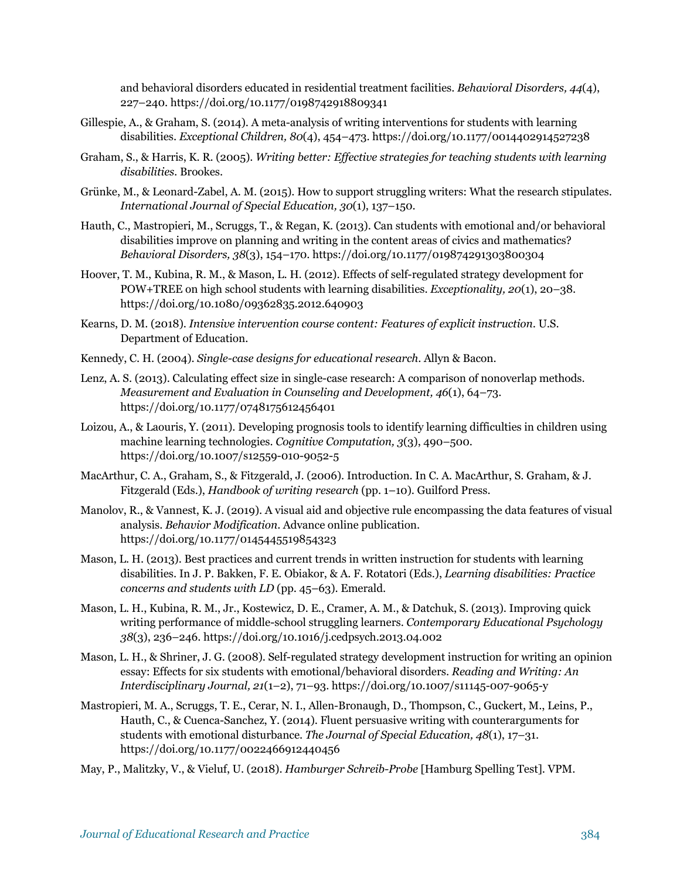and behavioral disorders educated in residential treatment facilities. *Behavioral Disorders, 44*(4), 227–240. https://doi.org/10.1177/0198742918809341

- Gillespie, A., & Graham, S. (2014). A meta-analysis of writing interventions for students with learning disabilities. *Exceptional Children, 80*(4), 454–473. https://doi.org/10.1177/0014402914527238
- Graham, S., & Harris, K. R. (2005). *Writing better: Effective strategies for teaching students with learning disabilities.* Brookes.
- Grünke, M., & Leonard-Zabel, A. M. (2015). How to support struggling writers: What the research stipulates. *International Journal of Special Education, 30*(1), 137–150.
- Hauth, C., Mastropieri, M., Scruggs, T., & Regan, K. (2013). Can students with emotional and/or behavioral disabilities improve on planning and writing in the content areas of civics and mathematics? *Behavioral Disorders, 38*(3), 154–170. https://doi.org/10.1177/019874291303800304
- Hoover, T. M., Kubina, R. M., & Mason, L. H. (2012). Effects of self-regulated strategy development for POW+TREE on high school students with learning disabilities. *Exceptionality, 20*(1), 20–38. https://doi.org/10.1080/09362835.2012.640903
- Kearns, D. M. (2018). *Intensive intervention course content: Features of explicit instruction*. U.S. Department of Education.
- Kennedy, C. H. (2004). *Single-case designs for educational research*. Allyn & Bacon.
- Lenz, A. S. (2013). Calculating effect size in single-case research: A comparison of nonoverlap methods. *Measurement and Evaluation in Counseling and Development, 46*(1), 64–73. https://doi.org/10.1177/0748175612456401
- Loizou, A., & Laouris, Y. (2011). Developing prognosis tools to identify learning difficulties in children using machine learning technologies. *Cognitive Computation, 3*(3), 490–500. https://doi.org/10.1007/s12559-010-9052-5
- MacArthur, C. A., Graham, S., & Fitzgerald, J. (2006). Introduction. In C. A. MacArthur, S. Graham, & J. Fitzgerald (Eds.), *Handbook of writing research* (pp. 1–10). Guilford Press.
- Manolov, R., & Vannest, K. J. (2019). A visual aid and objective rule encompassing the data features of visual analysis. *Behavior Modification*. Advance online publication. https://doi.org/10.1177/0145445519854323
- Mason, L. H. (2013). Best practices and current trends in written instruction for students with learning disabilities. In J. P. Bakken, F. E. Obiakor, & A. F. Rotatori (Eds.), *Learning disabilities: Practice concerns and students with LD* (pp. 45–63). Emerald.
- Mason, L. H., Kubina, R. M., Jr., Kostewicz, D. E., Cramer, A. M., & Datchuk, S. (2013). Improving quick writing performance of middle-school struggling learners. *Contemporary Educational Psychology 38*(3), 236–246. https://doi.org/10.1016/j.cedpsych.2013.04.002
- Mason, L. H., & Shriner, J. G. (2008). Self-regulated strategy development instruction for writing an opinion essay: Effects for six students with emotional/behavioral disorders. *Reading and Writing: An Interdisciplinary Journal, 21*(1–2), 71–93. https://doi.org/10.1007/s11145-007-9065-y
- Mastropieri, M. A., Scruggs, T. E., Cerar, N. I., Allen-Bronaugh, D., Thompson, C., Guckert, M., Leins, P., Hauth, C., & Cuenca-Sanchez, Y. (2014). Fluent persuasive writing with counterarguments for students with emotional disturbance. *The Journal of Special Education, 48*(1), 17–31. https://doi.org/10.1177/0022466912440456

May, P., Malitzky, V., & Vieluf, U. (2018). *Hamburger Schreib-Probe* [Hamburg Spelling Test]. VPM.